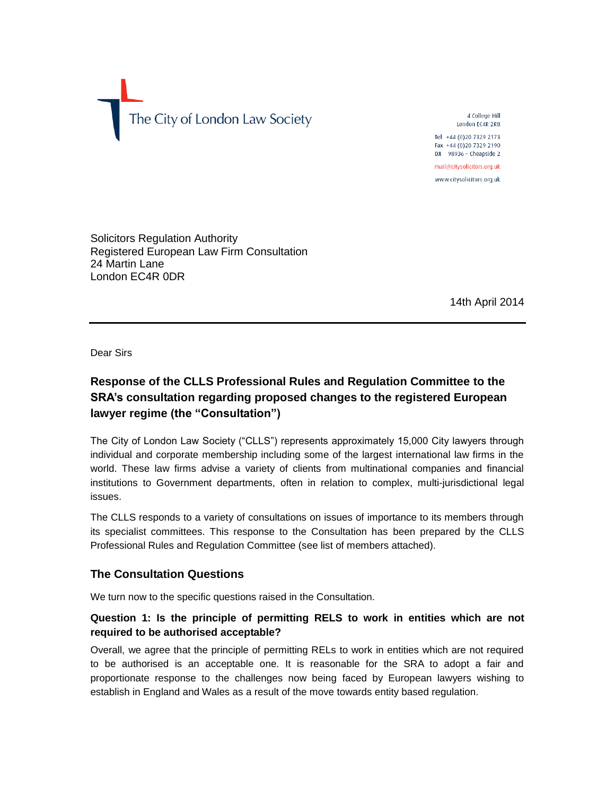

4 College Hill London EC4R 2RB Tel +44 (0) 20 7329 2173 Fax +44 (0)20 7329 2190 DX 98936 - Cheapside 2

mail@citysolicitors.org.uk www.citysolicitors.org.uk

Solicitors Regulation Authority Registered European Law Firm Consultation 24 Martin Lane London EC4R 0DR

14th April 2014

Dear Sirs

# **Response of the CLLS Professional Rules and Regulation Committee to the SRA's consultation regarding proposed changes to the registered European lawyer regime (the "Consultation")**

The City of London Law Society ("CLLS") represents approximately 15,000 City lawyers through individual and corporate membership including some of the largest international law firms in the world. These law firms advise a variety of clients from multinational companies and financial institutions to Government departments, often in relation to complex, multi-jurisdictional legal issues.

The CLLS responds to a variety of consultations on issues of importance to its members through its specialist committees. This response to the Consultation has been prepared by the CLLS Professional Rules and Regulation Committee (see list of members attached).

### **The Consultation Questions**

We turn now to the specific questions raised in the Consultation.

### **Question 1: Is the principle of permitting RELS to work in entities which are not required to be authorised acceptable?**

Overall, we agree that the principle of permitting RELs to work in entities which are not required to be authorised is an acceptable one. It is reasonable for the SRA to adopt a fair and proportionate response to the challenges now being faced by European lawyers wishing to establish in England and Wales as a result of the move towards entity based regulation.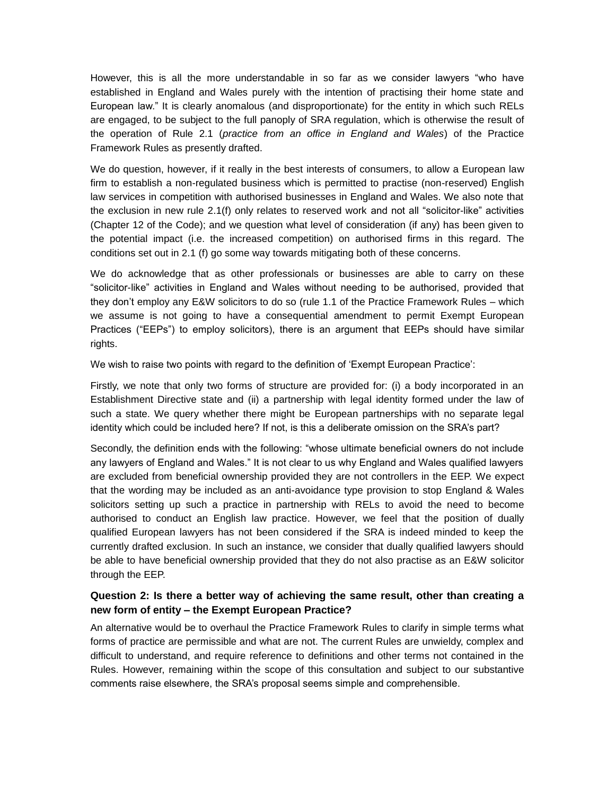However, this is all the more understandable in so far as we consider lawyers "who have established in England and Wales purely with the intention of practising their home state and European law." It is clearly anomalous (and disproportionate) for the entity in which such RELs are engaged, to be subject to the full panoply of SRA regulation, which is otherwise the result of the operation of Rule 2.1 (*practice from an office in England and Wales*) of the Practice Framework Rules as presently drafted.

We do question, however, if it really in the best interests of consumers, to allow a European law firm to establish a non-regulated business which is permitted to practise (non-reserved) English law services in competition with authorised businesses in England and Wales. We also note that the exclusion in new rule 2.1(f) only relates to reserved work and not all "solicitor-like" activities (Chapter 12 of the Code); and we question what level of consideration (if any) has been given to the potential impact (i.e. the increased competition) on authorised firms in this regard. The conditions set out in 2.1 (f) go some way towards mitigating both of these concerns.

We do acknowledge that as other professionals or businesses are able to carry on these "solicitor-like" activities in England and Wales without needing to be authorised, provided that they don't employ any E&W solicitors to do so (rule 1.1 of the Practice Framework Rules – which we assume is not going to have a consequential amendment to permit Exempt European Practices ("EEPs") to employ solicitors), there is an argument that EEPs should have similar rights.

We wish to raise two points with regard to the definition of 'Exempt European Practice':

Firstly, we note that only two forms of structure are provided for: (i) a body incorporated in an Establishment Directive state and (ii) a partnership with legal identity formed under the law of such a state. We query whether there might be European partnerships with no separate legal identity which could be included here? If not, is this a deliberate omission on the SRA's part?

Secondly, the definition ends with the following: "whose ultimate beneficial owners do not include any lawyers of England and Wales." It is not clear to us why England and Wales qualified lawyers are excluded from beneficial ownership provided they are not controllers in the EEP. We expect that the wording may be included as an anti-avoidance type provision to stop England & Wales solicitors setting up such a practice in partnership with RELs to avoid the need to become authorised to conduct an English law practice. However, we feel that the position of dually qualified European lawyers has not been considered if the SRA is indeed minded to keep the currently drafted exclusion. In such an instance, we consider that dually qualified lawyers should be able to have beneficial ownership provided that they do not also practise as an E&W solicitor through the EEP.

### **Question 2: Is there a better way of achieving the same result, other than creating a new form of entity – the Exempt European Practice?**

An alternative would be to overhaul the Practice Framework Rules to clarify in simple terms what forms of practice are permissible and what are not. The current Rules are unwieldy, complex and difficult to understand, and require reference to definitions and other terms not contained in the Rules. However, remaining within the scope of this consultation and subject to our substantive comments raise elsewhere, the SRA's proposal seems simple and comprehensible.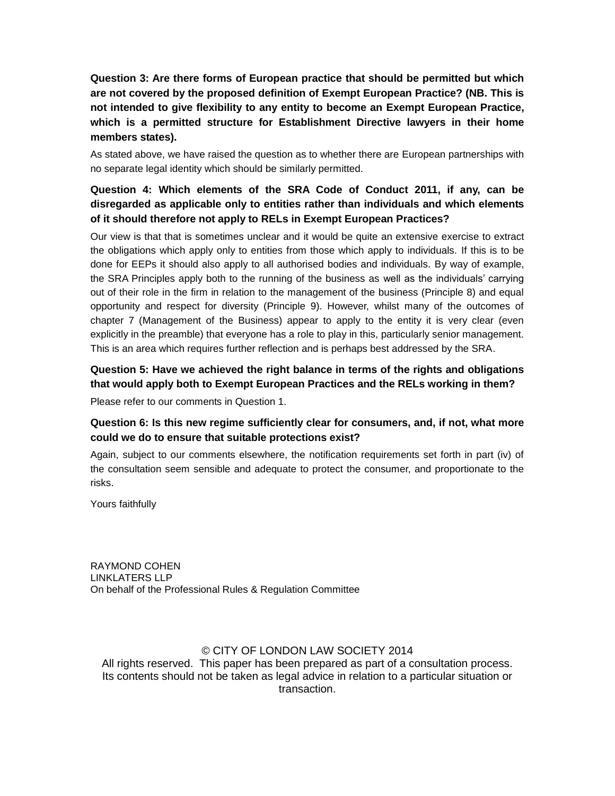**Question 3: Are there forms of European practice that should be permitted but which are not covered by the proposed definition of Exempt European Practice? (NB. This is not intended to give flexibility to any entity to become an Exempt European Practice, which is a permitted structure for Establishment Directive lawyers in their home members states).**

As stated above, we have raised the question as to whether there are European partnerships with no separate legal identity which should be similarly permitted.

## **Question 4: Which elements of the SRA Code of Conduct 2011, if any, can be disregarded as applicable only to entities rather than individuals and which elements of it should therefore not apply to RELs in Exempt European Practices?**

Our view is that that is sometimes unclear and it would be quite an extensive exercise to extract the obligations which apply only to entities from those which apply to individuals. If this is to be done for EEPs it should also apply to all authorised bodies and individuals. By way of example, the SRA Principles apply both to the running of the business as well as the individuals' carrying out of their role in the firm in relation to the management of the business (Principle 8) and equal opportunity and respect for diversity (Principle 9). However, whilst many of the outcomes of chapter 7 (Management of the Business) appear to apply to the entity it is very clear (even explicitly in the preamble) that everyone has a role to play in this, particularly senior management. This is an area which requires further reflection and is perhaps best addressed by the SRA.

### **Question 5: Have we achieved the right balance in terms of the rights and obligations that would apply both to Exempt European Practices and the RELs working in them?**

Please refer to our comments in Question 1.

### **Question 6: Is this new regime sufficiently clear for consumers, and, if not, what more could we do to ensure that suitable protections exist?**

Again, subject to our comments elsewhere, the notification requirements set forth in part (iv) of the consultation seem sensible and adequate to protect the consumer, and proportionate to the risks.

Yours faithfully

RAYMOND COHEN LINKLATERS LLP On behalf of the Professional Rules & Regulation Committee

### © CITY OF LONDON LAW SOCIETY 2014

All rights reserved. This paper has been prepared as part of a consultation process. Its contents should not be taken as legal advice in relation to a particular situation or transaction.